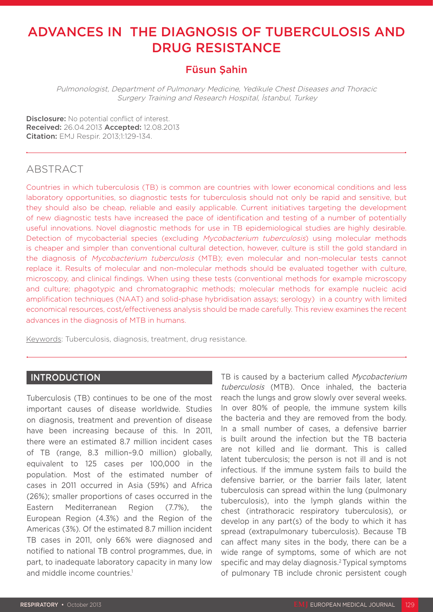# ADVANCES IN THE DIAGNOSIS OF TUBERCULOSIS AND DRUG RESISTANCE

# Füsun Şahin

Pulmonologist, Department of Pulmonary Medicine, Yedikule Chest Diseases and Thoracic Surgery Training and Research Hospital, İstanbul, Turkey

Disclosure: No potential conflict of interest. Received: 26.04.2013 Accepted: 12.08.2013 **Citation:** EMJ Respir. 2013;1:129-134.

# ABSTRACT

Countries in which tuberculosis (TB) is common are countries with lower economical conditions and less laboratory opportunities, so diagnostic tests for tuberculosis should not only be rapid and sensitive, but they should also be cheap, reliable and easily applicable. Current initiatives targeting the development of new diagnostic tests have increased the pace of identification and testing of a number of potentially useful innovations. Novel diagnostic methods for use in TB epidemiological studies are highly desirable. Detection of mycobacterial species (excluding Mycobacterium tuberculosis) using molecular methods is cheaper and simpler than conventional cultural detection, however, culture is still the gold standard in the diagnosis of Mycobacterium tuberculosis (MTB); even molecular and non-molecular tests cannot replace it. Results of molecular and non-molecular methods should be evaluated together with culture, microscopy, and clinical findings. When using these tests (conventional methods for example microscopy and culture; phagotypic and chromatographic methods; molecular methods for example nucleic acid amplification techniques (NAAT) and solid-phase hybridisation assays; serology) in a country with limited economical resources, cost/effectiveness analysis should be made carefully. This review examines the recent advances in the diagnosis of MTB in humans.

Keywords: Tuberculosis, diagnosis, treatment, drug resistance.

## INTRODUCTION

Tuberculosis (TB) continues to be one of the most important causes of disease worldwide. Studies on diagnosis, treatment and prevention of disease have been increasing because of this. In 2011, there were an estimated 8.7 million incident cases of TB (range, 8.3 million–9.0 million) globally, equivalent to 125 cases per 100,000 in the population. Most of the estimated number of cases in 2011 occurred in Asia (59%) and Africa (26%); smaller proportions of cases occurred in the Eastern Mediterranean Region (7.7%), the European Region (4.3%) and the Region of the Americas (3%). Of the estimated 8.7 million incident TB cases in 2011, only 66% were diagnosed and notified to national TB control programmes, due, in part, to inadequate laboratory capacity in many low and middle income countries.<sup>1</sup>

TB is caused by a bacterium called Mycobacterium tuberculosis (MTB). Once inhaled, the bacteria reach the lungs and grow slowly over several weeks. In over 80% of people, the immune system kills the bacteria and they are removed from the body. In a small number of cases, a defensive barrier is built around the infection but the TB bacteria are not killed and lie dormant. This is called latent tuberculosis; the person is not ill and is not infectious. If the immune system fails to build the defensive barrier, or the barrier fails later, latent tuberculosis can spread within the lung (pulmonary tuberculosis), into the lymph glands within the chest (intrathoracic respiratory tuberculosis), or develop in any part(s) of the body to which it has spread (extrapulmonary tuberculosis). Because TB can affect many sites in the body, there can be a wide range of symptoms, some of which are not specific and may delay diagnosis.2 Typical symptoms of pulmonary TB include chronic persistent cough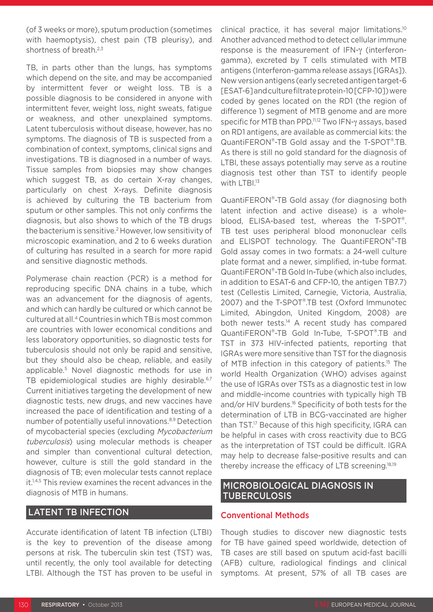(of 3 weeks or more), sputum production (sometimes with haemoptysis), chest pain (TB pleurisy), and shortness of breath.<sup>2,3</sup>

TB, in parts other than the lungs, has symptoms which depend on the site, and may be accompanied by intermittent fever or weight loss. TB is a possible diagnosis to be considered in anyone with intermittent fever, weight loss, night sweats, fatigue or weakness, and other unexplained symptoms. Latent tuberculosis without disease, however, has no symptoms. The diagnosis of TB is suspected from a combination of context, symptoms, clinical signs and investigations. TB is diagnosed in a number of ways. Tissue samples from biopsies may show changes which suggest TB, as do certain X-ray changes, particularly on chest X-rays. Definite diagnosis is achieved by culturing the TB bacterium from sputum or other samples. This not only confirms the diagnosis, but also shows to which of the TB drugs the bacterium is sensitive.2 However, low sensitivity of microscopic examination, and 2 to 6 weeks duration of culturing has resulted in a search for more rapid and sensitive diagnostic methods.

Polymerase chain reaction (PCR) is a method for reproducing specific DNA chains in a tube, which was an advancement for the diagnosis of agents, and which can hardly be cultured or which cannot be cultured at all.4 Countries in which TB is most common are countries with lower economical conditions and less laboratory opportunities, so diagnostic tests for tuberculosis should not only be rapid and sensitive, but they should also be cheap, reliable, and easily applicable.5 Novel diagnostic methods for use in TB epidemiological studies are highly desirable.<sup>6,7</sup> Current initiatives targeting the development of new diagnostic tests, new drugs, and new vaccines have increased the pace of identification and testing of a number of potentially useful innovations.8,9 Detection of mycobacterial species (excluding Mycobacterium tuberculosis) using molecular methods is cheaper and simpler than conventional cultural detection, however, culture is still the gold standard in the diagnosis of TB; even molecular tests cannot replace it.1,4,5 This review examines the recent advances in the diagnosis of MTB in humans.

# LATENT TB INFECTION

Accurate identification of latent TB infection (LTBI) is the key to prevention of the disease among persons at risk. The tuberculin skin test (TST) was, until recently, the only tool available for detecting LTBI. Although the TST has proven to be useful in clinical practice, it has several major limitations.10 Another advanced method to detect cellular immune response is the measurement of IFN-γ (interferongamma), excreted by T cells stimulated with MTB antigens (Interferon-gamma release assays [IGRAs]). New version antigens (early secreted antigen target-6 [ESAT-6] and culture filtrate protein-10 [CFP-10]) were coded by genes located on the RD1 (the region of difference 1) segment of MTB genome and are more specific for MTB than PPD.<sup>11,12</sup> Two IFN-γ assays, based on RD1 antigens, are available as commercial kits: the QuantiFERON®-TB Gold assay and the T-SPOT®.TB. As there is still no gold standard for the diagnosis of LTBI, these assays potentially may serve as a routine diagnosis test other than TST to identify people with LTBI.<sup>13</sup>

QuantiFERON®-TB Gold assay (for diagnosing both latent infection and active disease) is a wholeblood, ELISA-based test, whereas the T-SPOT®. TB test uses peripheral blood mononuclear cells and ELISPOT technology. The QuantiFERON®-TB Gold assay comes in two formats: a 24-well culture plate format and a newer, simplified, in-tube format. QuantiFERON®-TB Gold In-Tube (which also includes, in addition to ESAT-6 and CFP-10, the antigen TB7.7) test (Cellestis Limited, Carnegie, Victoria, Australia, 2007) and the T-SPOT®.TB test (Oxford Immunotec Limited, Abingdon, United Kingdom, 2008) are both newer tests.<sup>14</sup> A recent study has compared QuantiFERON®-TB Gold In-Tube, T-SPOT®.TB and TST in 373 HIV-infected patients, reporting that IGRAs were more sensitive than TST for the diagnosis of MTB infection in this category of patients.<sup>15</sup> The world Health Organization (WHO) advises against the use of IGRAs over TSTs as a diagnostic test in low and middle-income countries with typically high TB and/or HIV burdens.16 Specificity of both tests for the determination of LTB in BCG-vaccinated are higher than TST.<sup>17</sup> Because of this high specificity, IGRA can be helpful in cases with cross reactivity due to BCG as the interpretation of TST could be difficult. IGRA may help to decrease false-positive results and can thereby increase the efficacy of LTB screening.18,19

# MICROBIOLOGICAL DIAGNOSIS IN TUBERCULOSIS

### Conventional Methods

Though studies to discover new diagnostic tests for TB have gained speed worldwide, detection of TB cases are still based on sputum acid-fast bacilli (AFB) culture, radiological findings and clinical symptoms. At present, 57% of all TB cases are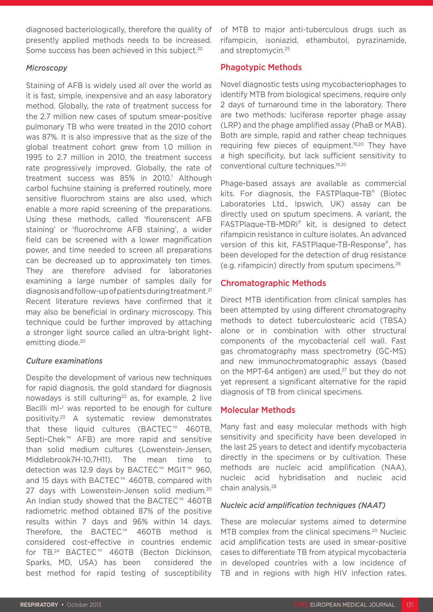diagnosed bacteriologically, therefore the quality of presently applied methods needs to be increased. Some success has been achieved in this subject.<sup>20</sup>

#### *Microscopy*

Staining of AFB is widely used all over the world as it is fast, simple, inexpensive and an easy laboratory method. Globally, the rate of treatment success for the 2.7 million new cases of sputum smear-positive pulmonary TB who were treated in the 2010 cohort was 87%. It is also impressive that as the size of the global treatment cohort grew from 1.0 million in 1995 to 2.7 million in 2010, the treatment success rate progressively improved. Globally, the rate of treatment success was 85% in 2010.<sup>1</sup> Although carbol fuchsine staining is preferred routinely, more sensitive fluorochrom stains are also used, which enable a more rapid screening of the preparations. Using these methods, called 'flourenscent AFB staining' or 'fluorochrome AFB staining', a wider field can be screened with a lower magnification power, and time needed to screen all preparations can be decreased up to approximately ten times. They are therefore advised for laboratories examining a large number of samples daily for diagnosis and follow-up of patients during treatment.<sup>21</sup> Recent literature reviews have confirmed that it may also be beneficial in ordinary microscopy. This technique could be further improved by attaching a stronger light source called an ultra-bright lightemitting diode.<sup>20</sup>

#### *Culture examinations*

Despite the development of various new techniques for rapid diagnosis, the gold standard for diagnosis nowadays is still culturing<sup>22</sup> as, for example, 2 live Bacilli ml-<sup>1</sup> was reported to be enough for culture positivity.23 A systematic review demonstrates that these liquid cultures (BACTEC<sup>™</sup> 460TB, Septi-Chek<sup>™</sup> AFB) are more rapid and sensitive than solid medium cultures (Lowenstein-Jensen, Middlebrook7H-10,7H11). The mean time to detection was 12.9 days by BACTEC™ MGIT™ 960, and 15 days with BACTEC™ 460TB, compared with 27 days with Lowenstein-Jensen solid medium.<sup>20</sup> An Indian study showed that the BACTEC<sup>™</sup> 460TB radiometric method obtained 87% of the positive results within 7 days and 96% within 14 days. Therefore, the BACTEC<sup>™</sup> 460TB method is considered cost-effective in countries endemic for TB.<sup>24</sup> BACTEC<sup>™</sup> 460TB (Becton Dickinson, Sparks, MD, USA) has been considered the best method for rapid testing of susceptibility

of MTB to major anti-tuberculous drugs such as rifampicin, isoniazid, ethambutol, pyrazinamide, and streptomycin.25

# Phagotypic Methods

Novel diagnostic tests using mycobacteriophages to identify MTB from biological specimens, require only 2 days of turnaround time in the laboratory. There are two methods: luciferase reporter phage assay (LRP) and the phage amplified assay (PhaB or MAB). Both are simple, rapid and rather cheap techniques requiring few pieces of equipment.<sup>19,20</sup> They have a high specificity, but lack sufficient sensitivity to conventional culture techniques.19,20

Phage-based assays are available as commercial kits. For diagnosis, the FASTPlaque-TB® (Biotec Laboratories Ltd., Ipswich, UK) assay can be directly used on sputum specimens. A variant, the FASTPlaque-TB-MDRi® kit, is designed to detect rifampicin resistance in culture isolates. An advanced version of this kit, FASTPlaque-TB-Response®, has been developed for the detection of drug resistance (e.g. rifampicin) directly from sputum specimens.26

# Chromatographic Methods

Direct MTB identification from clinical samples has been attempted by using different chromatography methods to detect tuberculostearic acid (TBSA) alone or in combination with other structural components of the mycobacterial cell wall. Fast gas chromatography mass spectrometry (GC-MS) and new immunochromatographic assays (based on the MPT-64 antigen) are used, $27$  but they do not yet represent a significant alternative for the rapid diagnosis of TB from clinical specimens.

#### Molecular Methods

Many fast and easy molecular methods with high sensitivity and specificity have been developed in the last 25 years to detect and identify mycobacteria directly in the specimens or by cultivation. These methods are nucleic acid amplification (NAA), nucleic acid hybridisation and nucleic acid chain analysis.28

#### *Nucleic acid amplification techniques (NAAT)*

These are molecular systems aimed to determine MTB complex from the clinical specimens.<sup>20</sup> Nucleic acid amplification tests are used in smear-positive cases to differentiate TB from atypical mycobacteria in developed countries with a low incidence of TB and in regions with high HIV infection rates.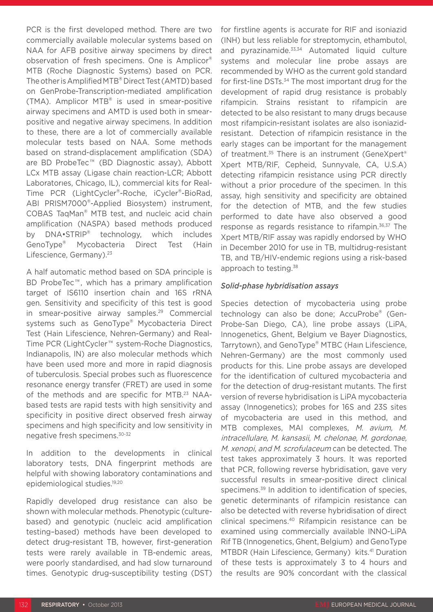PCR is the first developed method. There are two commercially available molecular systems based on NAA for AFB positive airway specimens by direct observation of fresh specimens. One is Amplicor® MTB (Roche Diagnostic Systems) based on PCR. The other is Amplified MTB® Direct Test (AMTD) based on GenProbe-Transcription-mediated amplification (TMA). Amplicor MTB® is used in smear-positive airway specimens and AMTD is used both in smearpositive and negative airway specimens. In addition to these, there are a lot of commercially available molecular tests based on NAA. Some methods based on strand-displacement amplification (SDA) are BD ProbeTec<sup>™</sup> (BD Diagnostic assay), Abbott LCx MTB assay (Ligase chain reaction-LCR; Abbott Laboratorıes, Chicago, IL), commercial kits for Real-Time PCR (LightCycler®-Roche, iCycler®-BioRad, ABI PRISM7000®-Applied Biosystem) instrument, COBAS TaqMan® MTB test, and nucleic acid chain amplification (NASPA) based methods produced by DNA•STRIP® technology, which includes GenoType® Mycobacteria Direct Test (Hain Lifescience, Germany).<sup>23</sup>

A half automatic method based on SDA principle is BD ProbeTec<sup>™</sup>, which has a primary amplification target of IS6110 insertion chain and 16S rRNA gen. Sensitivity and specificity of this test is good in smear-positive airway samples.<sup>29</sup> Commercial systems such as GenoType® Mycobacteria Direct Test (Hain Lifescience, Nehren-Germany) and Real-Time PCR (LightCycler<sup>™</sup> system-Roche Diagnostics, Indianapolis, IN) are also molecular methods which have been used more and more in rapid diagnosis of tuberculosis. Special probes such as fluorescence resonance energy transfer (FRET) are used in some of the methods and are specific for MTB.23 NAAbased tests are rapid tests with high sensitivity and specificity in positive direct observed fresh airway specimens and high specificity and low sensitivity in negative fresh specimens.30-32

In addition to the developments in clinical laboratory tests, DNA fingerprint methods are helpful with showing laboratory contaminations and epidemiological studies.19,20

Rapidly developed drug resistance can also be shown with molecular methods. Phenotypic (culturebased) and genotypic (nucleic acid amplification testing–based) methods have been developed to detect drug-resistant TB, however, first-generation tests were rarely available in TB-endemic areas, were poorly standardised, and had slow turnaround times. Genotypic drug-susceptibility testing (DST)

for firstline agents is accurate for RIF and isoniazid (INH) but less reliable for streptomycin, ethambutol, and pyrazinamide.<sup>33,34</sup> Automated liquid culture systems and molecular line probe assays are recommended by WHO as the current gold standard for first-line DSTs.<sup>34</sup> The most important drug for the development of rapid drug resistance is probably rifampicin. Strains resistant to rifampicin are detected to be also resistant to many drugs because most rifampicin-resistant isolates are also isoniazidresistant. Detection of rifampicin resistance in the early stages can be important for the management of treatment.<sup>35</sup> There is an instrument (GeneXpert® Xpert MTB/RIF, Cepheid, Sunnyvale, CA, U.S.A) detecting rifampicin resistance using PCR directly without a prior procedure of the specimen. In this assay, high sensitivity and specificity are obtained for the detection of MTB, and the few studies performed to date have also observed a good response as regards resistance to rifampin.36,37 The Xpert MTB/RIF assay was rapidly endorsed by WHO in December 2010 for use in TB, multidrug-resistant TB, and TB/HIV-endemic regions using a risk-based approach to testing.<sup>38</sup>

#### *Solid-phase hybridisation assays*

Species detection of mycobacteria using probe technology can also be done; AccuProbe® (Gen-Probe-San Diego, CA), line probe assays (LiPA, Innogenetics, Ghent, Belgium ve Bayer Diagnostics, Tarrytown), and GenoType® MTBC (Haın Lifescience, Nehren-Germany) are the most commonly used products for this. Line probe assays are developed for the identification of cultured mycobacteria and for the detection of drug-resistant mutants. The first version of reverse hybridisation is LiPA mycobacteria assay (Innogenetics); probes for 16S and 23S sites of mycobacteria are used in this method, and MTB complexes, MAI complexes, M. avium, M. intracellulare, M. kansasii, M. chelonae, M. gordonae, M. xenopi, and M. scrofulaceum can be detected. The test takes approximately 3 hours. It was reported that PCR, following reverse hybridisation, gave very successful results in smear-positive direct clinical specimens.<sup>39</sup> In addition to identification of species, genetic determinants of rifampicin resistance can also be detected with reverse hybridisation of direct clinical specimens.40 Rifampicin resistance can be examined using commercially available INNO-LiPA Rif TB (Innogenetics, Ghent, Belgium) and GenoType MTBDR (Hain Lifescience, Germany) kits.<sup>41</sup> Duration of these tests is approximately 3 to 4 hours and the results are 90% concordant with the classical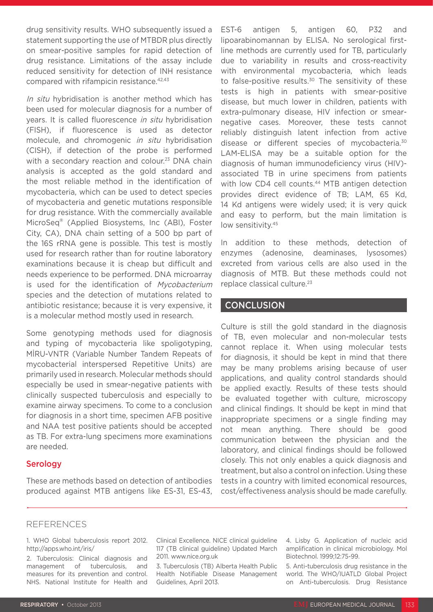drug sensitivity results. WHO subsequently issued a statement supporting the use of MTBDR plus directly on smear-positive samples for rapid detection of drug resistance. Limitations of the assay include reduced sensitivity for detection of INH resistance compared with rifampicin resistance.42,43

In situ hybridisation is another method which has been used for molecular diagnosis for a number of years. It is called fluorescence in situ hybridisation (FISH), if fluorescence is used as detector molecule, and chromogenic in situ hybridisation (CISH), if detection of the probe is performed with a secondary reaction and colour.<sup>23</sup> DNA chain analysis is accepted as the gold standard and the most reliable method in the identification of mycobacteria, which can be used to detect species of mycobacteria and genetic mutations responsible for drug resistance. With the commercially available MicroSeq® (Applied Biosystems, Inc (ABI), Foster City, CA), DNA chain setting of a 500 bp part of the 16S rRNA gene is possible. This test is mostly used for research rather than for routine laboratory examinations because it is cheap but difficult and needs experience to be performed. DNA microarray is used for the identification of Mycobacterium species and the detection of mutations related to antibiotic resistance; because it is very expensive, it is a molecular method mostly used in research.

Some genotyping methods used for diagnosis and typing of mycobacteria like spoligotyping, MİRU-VNTR (Variable Number Tandem Repeats of mycobacterial interspersed Repetitive Units) are primarily used in research. Molecular methods should especially be used in smear-negative patients with clinically suspected tuberculosis and especially to examine airway specimens. To come to a conclusion for diagnosis in a short time, specimen AFB positive and NAA test positive patients should be accepted as TB. For extra-lung specimens more examinations are needed.

#### Serology

These are methods based on detection of antibodies produced against MTB antigens like ES-31, ES-43, EST-6 antigen 5, antigen 60, P32 and lipoarabinomannan by ELISA. No serological firstline methods are currently used for TB, particularly due to variability in results and cross-reactivity with environmental mycobacteria, which leads to false-positive results.<sup>30</sup> The sensitivity of these tests is high in patients with smear-positive disease, but much lower in children, patients with extra-pulmonary disease, HIV infection or smearnegative cases. Moreover, these tests cannot reliably distinguish latent infection from active disease or different species of mycobacteria.<sup>30</sup> LAM-ELISA may be a suitable option for the diagnosis of human immunodeficiency virus (HIV) associated TB in urine specimens from patients with low CD4 cell counts.<sup>44</sup> MTB antigen detection provides direct evidence of TB; LAM, 65 Kd, 14 Kd antigens were widely used; it is very quick and easy to perform, but the main limitation is low sensitivity.<sup>45</sup>

In addition to these methods, detection of enzymes (adenosine, deaminases, lysosomes) excreted from various cells are also used in the diagnosis of MTB. But these methods could not replace classical culture.<sup>23</sup>

## **CONCLUSION**

Culture is still the gold standard in the diagnosis of TB, even molecular and non-molecular tests cannot replace it. When using molecular tests for diagnosis, it should be kept in mind that there may be many problems arising because of user applications, and quality control standards should be applied exactly. Results of these tests should be evaluated together with culture, microscopy and clinical findings. It should be kept in mind that inappropriate specimens or a single finding may not mean anything. There should be good communication between the physician and the laboratory, and clinical findings should be followed closely. This not only enables a quick diagnosis and treatment, but also a control on infection. Using these tests in a country with limited economical resources, cost/effectiveness analysis should be made carefully.

# **REFERENCES**

1. WHO Global tuberculosis report 2012. http://apps.who.int/iris/

2. Tuberculosis: Clinical diagnosis and management of tuberculosis, and measures for its prevention and control. NHS. National Institute for Health and Clinical Excellence. NICE clinical guideline 117 (TB clinical guideline) Updated March 2011. www.nice.org.uk

3. Tuberculosis (TB) Alberta Health Public Health Notifiable Disease Management Guidelines, April 2013.

4. Lisby G. Application of nucleic acid amplification in clinical microbiology. Mol Biotechnol. 1999;12:75-99.

5. Anti-tuberculosis drug resistance in the world. The WHO/IUATLD Global Project on Anti-tuberculosis. Drug Resistance